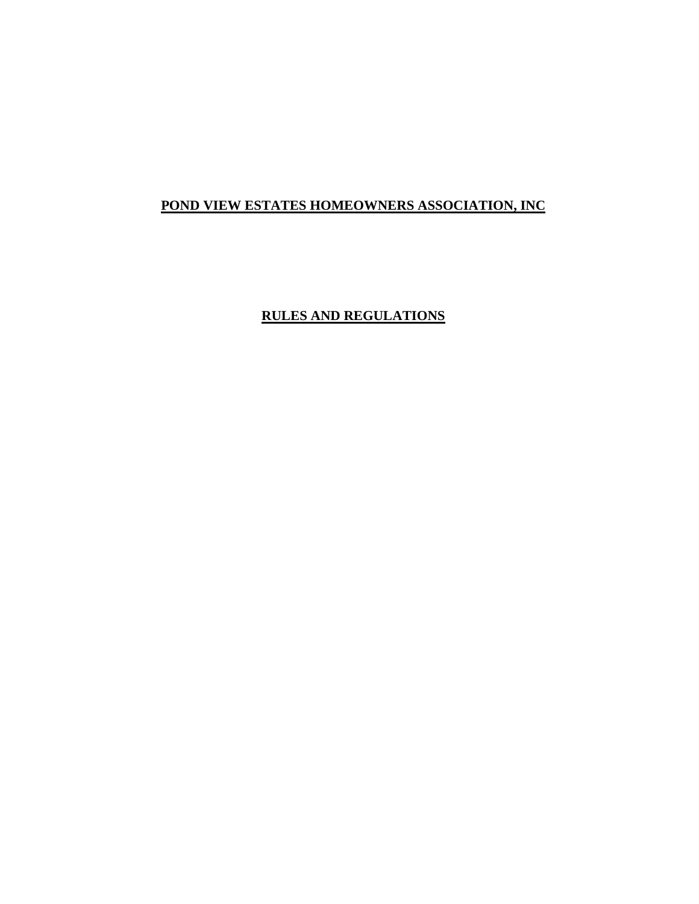# **POND VIEW ESTATES HOMEOWNERS ASSOCIATION, INC**

# **RULES AND REGULATIONS**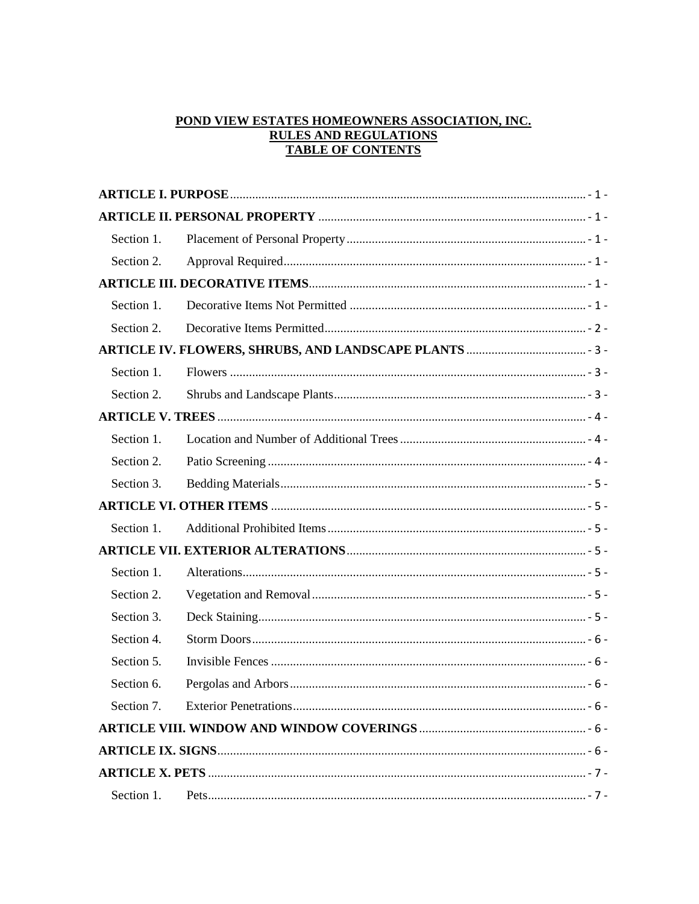# POND VIEW ESTATES HOMEOWNERS ASSOCIATION, INC. **RULES AND REGULATIONS TABLE OF CONTENTS**

| Section 1. |  |
|------------|--|
| Section 2. |  |
|            |  |
| Section 1. |  |
| Section 2. |  |
|            |  |
| Section 1. |  |
| Section 2. |  |
|            |  |
| Section 1. |  |
| Section 2. |  |
| Section 3. |  |
|            |  |
| Section 1. |  |
|            |  |
| Section 1. |  |
| Section 2. |  |
| Section 3. |  |
| Section 4. |  |
| Section 5. |  |
| Section 6. |  |
| Section 7. |  |
|            |  |
|            |  |
|            |  |
| Section 1. |  |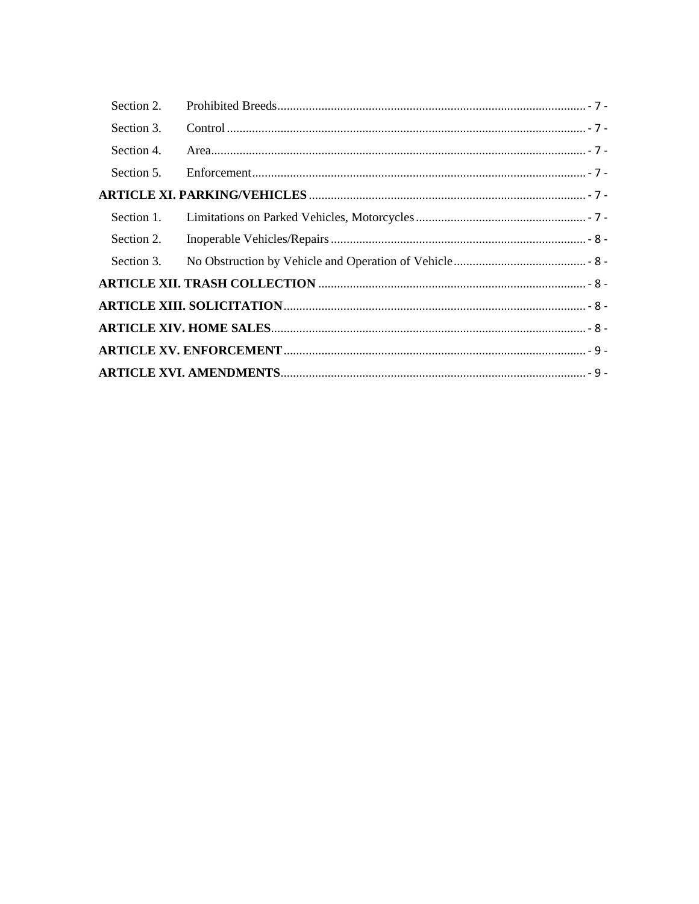| Section 2. |  |
|------------|--|
| Section 3. |  |
| Section 4. |  |
| Section 5. |  |
|            |  |
|            |  |
| Section 2. |  |
| Section 3. |  |
|            |  |
|            |  |
|            |  |
|            |  |
|            |  |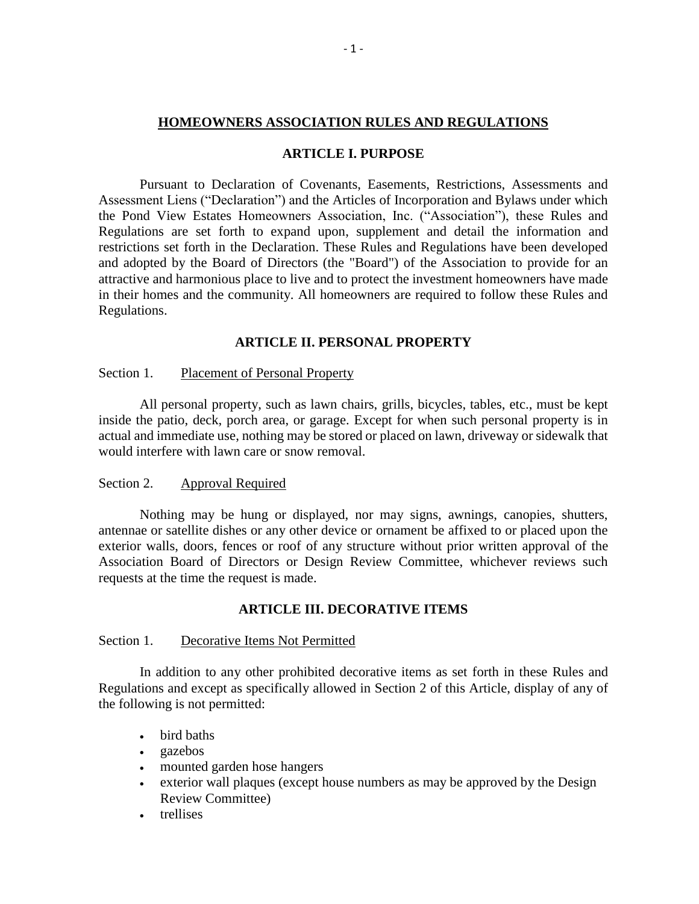### **HOMEOWNERS ASSOCIATION RULES AND REGULATIONS**

### **ARTICLE I. PURPOSE**

<span id="page-3-0"></span>Pursuant to Declaration of Covenants, Easements, Restrictions, Assessments and Assessment Liens ("Declaration") and the Articles of Incorporation and Bylaws under which the Pond View Estates Homeowners Association, Inc. ("Association"), these Rules and Regulations are set forth to expand upon, supplement and detail the information and restrictions set forth in the Declaration. These Rules and Regulations have been developed and adopted by the Board of Directors (the "Board") of the Association to provide for an attractive and harmonious place to live and to protect the investment homeowners have made in their homes and the community. All homeowners are required to follow these Rules and Regulations.

# **ARTICLE II. PERSONAL PROPERTY**

#### <span id="page-3-2"></span><span id="page-3-1"></span>Section 1. Placement of Personal Property

All personal property, such as lawn chairs, grills, bicycles, tables, etc., must be kept inside the patio, deck, porch area, or garage. Except for when such personal property is in actual and immediate use, nothing may be stored or placed on lawn, driveway or sidewalk that would interfere with lawn care or snow removal.

## <span id="page-3-3"></span>Section 2. Approval Required

Nothing may be hung or displayed, nor may signs, awnings, canopies, shutters, antennae or satellite dishes or any other device or ornament be affixed to or placed upon the exterior walls, doors, fences or roof of any structure without prior written approval of the Association Board of Directors or Design Review Committee, whichever reviews such requests at the time the request is made.

#### **ARTICLE III. DECORATIVE ITEMS**

#### <span id="page-3-5"></span><span id="page-3-4"></span>Section 1. Decorative Items Not Permitted

In addition to any other prohibited decorative items as set forth in these Rules and Regulations and except as specifically allowed in Section 2 of this Article, display of any of the following is not permitted:

- bird baths
- gazebos
- mounted garden hose hangers
- exterior wall plaques (except house numbers as may be approved by the Design Review Committee)
- trellises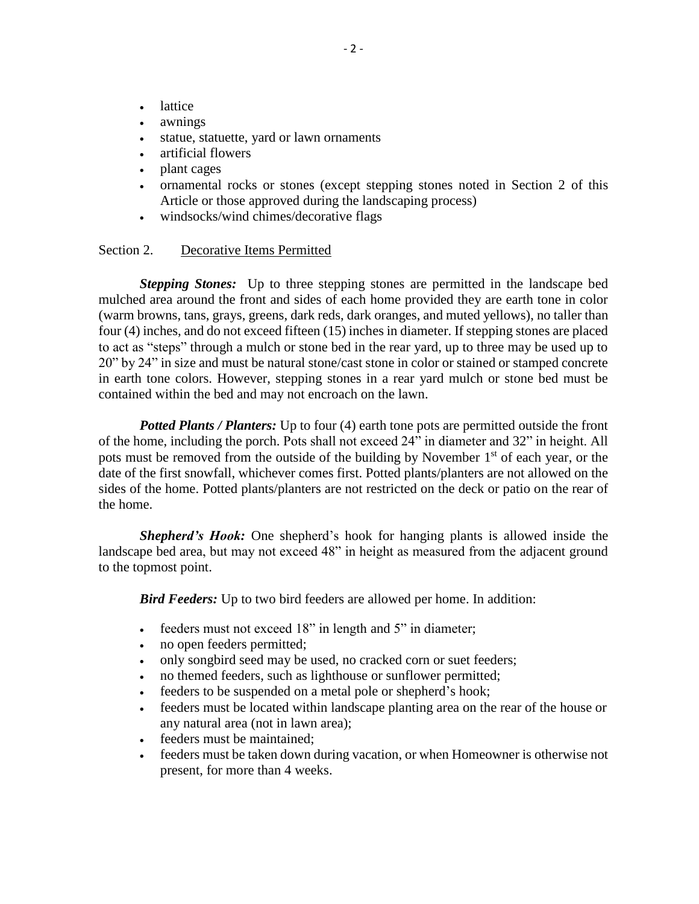- lattice
- awnings
- statue, statuette, yard or lawn ornaments
- artificial flowers
- plant cages
- ornamental rocks or stones (except stepping stones noted in Section 2 of this Article or those approved during the landscaping process)
- windsocks/wind chimes/decorative flags

#### <span id="page-4-0"></span>Section 2. Decorative Items Permitted

*Stepping Stones:* Up to three stepping stones are permitted in the landscape bed mulched area around the front and sides of each home provided they are earth tone in color (warm browns, tans, grays, greens, dark reds, dark oranges, and muted yellows), no taller than four (4) inches, and do not exceed fifteen (15) inches in diameter. If stepping stones are placed to act as "steps" through a mulch or stone bed in the rear yard, up to three may be used up to 20" by 24" in size and must be natural stone/cast stone in color or stained or stamped concrete in earth tone colors. However, stepping stones in a rear yard mulch or stone bed must be contained within the bed and may not encroach on the lawn.

*Potted Plants / Planters:* Up to four (4) earth tone pots are permitted outside the front of the home, including the porch. Pots shall not exceed 24" in diameter and 32" in height. All pots must be removed from the outside of the building by November  $1<sup>st</sup>$  of each year, or the date of the first snowfall, whichever comes first. Potted plants/planters are not allowed on the sides of the home. Potted plants/planters are not restricted on the deck or patio on the rear of the home.

*Shepherd's Hook:* One shepherd's hook for hanging plants is allowed inside the landscape bed area, but may not exceed 48" in height as measured from the adjacent ground to the topmost point.

*Bird Feeders:* Up to two bird feeders are allowed per home. In addition:

- Feeders must not exceed 18" in length and 5" in diameter;
- no open feeders permitted;
- only songbird seed may be used, no cracked corn or suet feeders;
- no themed feeders, such as lighthouse or sunflower permitted;
- feeders to be suspended on a metal pole or shepherd's hook;
- feeders must be located within landscape planting area on the rear of the house or any natural area (not in lawn area);
- feeders must be maintained;
- feeders must be taken down during vacation, or when Homeowner is otherwise not present, for more than 4 weeks.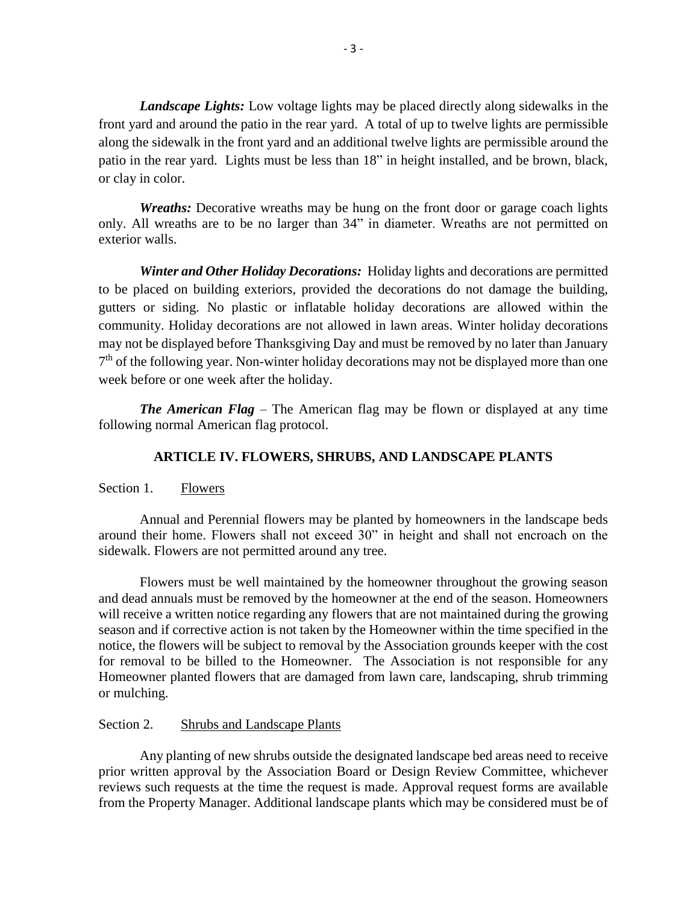*Landscape Lights:* Low voltage lights may be placed directly along sidewalks in the front yard and around the patio in the rear yard. A total of up to twelve lights are permissible along the sidewalk in the front yard and an additional twelve lights are permissible around the patio in the rear yard. Lights must be less than 18" in height installed, and be brown, black, or clay in color.

*Wreaths:* Decorative wreaths may be hung on the front door or garage coach lights only. All wreaths are to be no larger than 34" in diameter. Wreaths are not permitted on exterior walls.

*Winter and Other Holiday Decorations:* Holiday lights and decorations are permitted to be placed on building exteriors, provided the decorations do not damage the building, gutters or siding. No plastic or inflatable holiday decorations are allowed within the community. Holiday decorations are not allowed in lawn areas. Winter holiday decorations may not be displayed before Thanksgiving Day and must be removed by no later than January 7<sup>th</sup> of the following year. Non-winter holiday decorations may not be displayed more than one week before or one week after the holiday.

*The American Flag* – The American flag may be flown or displayed at any time following normal American flag protocol.

# **ARTICLE IV. FLOWERS, SHRUBS, AND LANDSCAPE PLANTS**

<span id="page-5-1"></span><span id="page-5-0"></span>Section 1. Flowers

Annual and Perennial flowers may be planted by homeowners in the landscape beds around their home. Flowers shall not exceed 30" in height and shall not encroach on the sidewalk. Flowers are not permitted around any tree.

Flowers must be well maintained by the homeowner throughout the growing season and dead annuals must be removed by the homeowner at the end of the season. Homeowners will receive a written notice regarding any flowers that are not maintained during the growing season and if corrective action is not taken by the Homeowner within the time specified in the notice, the flowers will be subject to removal by the Association grounds keeper with the cost for removal to be billed to the Homeowner. The Association is not responsible for any Homeowner planted flowers that are damaged from lawn care, landscaping, shrub trimming or mulching.

#### <span id="page-5-2"></span>Section 2. Shrubs and Landscape Plants

Any planting of new shrubs outside the designated landscape bed areas need to receive prior written approval by the Association Board or Design Review Committee, whichever reviews such requests at the time the request is made. Approval request forms are available from the Property Manager. Additional landscape plants which may be considered must be of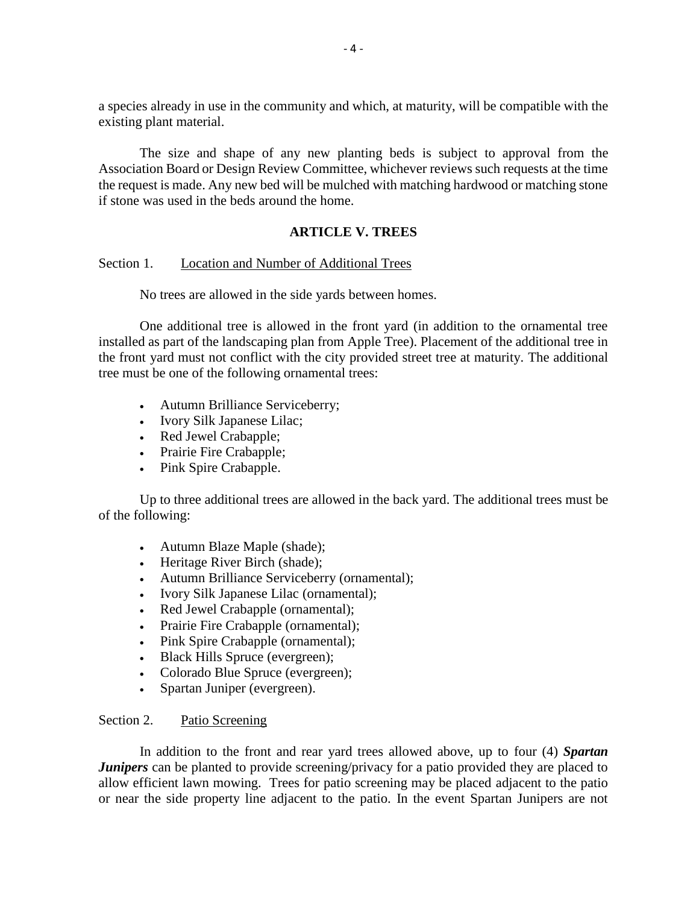a species already in use in the community and which, at maturity, will be compatible with the existing plant material.

The size and shape of any new planting beds is subject to approval from the Association Board or Design Review Committee, whichever reviews such requests at the time the request is made. Any new bed will be mulched with matching hardwood or matching stone if stone was used in the beds around the home.

# **ARTICLE V. TREES**

## <span id="page-6-1"></span><span id="page-6-0"></span>Section 1. Location and Number of Additional Trees

No trees are allowed in the side yards between homes.

One additional tree is allowed in the front yard (in addition to the ornamental tree installed as part of the landscaping plan from Apple Tree). Placement of the additional tree in the front yard must not conflict with the city provided street tree at maturity. The additional tree must be one of the following ornamental trees:

- Autumn Brilliance Serviceberry;
- Ivory Silk Japanese Lilac;
- Red Jewel Crabapple;
- Prairie Fire Crabapple;
- Pink Spire Crabapple.

Up to three additional trees are allowed in the back yard. The additional trees must be of the following:

- Autumn Blaze Maple (shade);
- Heritage River Birch (shade);
- Autumn Brilliance Serviceberry (ornamental);
- Ivory Silk Japanese Lilac (ornamental);
- Red Jewel Crabapple (ornamental);
- Prairie Fire Crabapple (ornamental);
- Pink Spire Crabapple (ornamental);
- Black Hills Spruce (evergreen);
- Colorado Blue Spruce (evergreen);
- Spartan Juniper (evergreen).

# <span id="page-6-2"></span>Section 2. Patio Screening

In addition to the front and rear yard trees allowed above, up to four (4) *Spartan Junipers* can be planted to provide screening/privacy for a patio provided they are placed to allow efficient lawn mowing. Trees for patio screening may be placed adjacent to the patio or near the side property line adjacent to the patio. In the event Spartan Junipers are not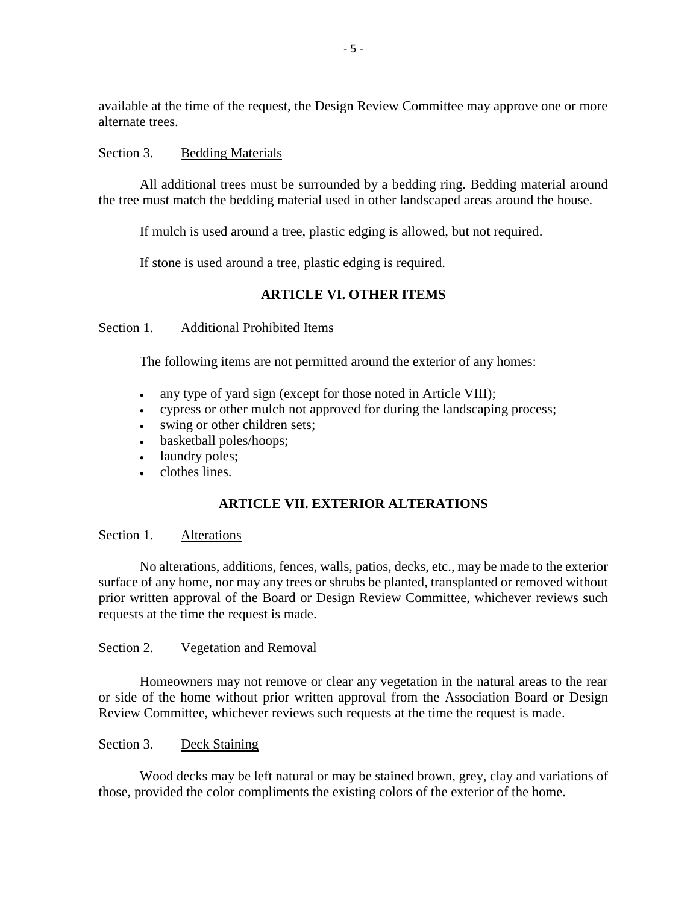available at the time of the request, the Design Review Committee may approve one or more alternate trees.

## <span id="page-7-0"></span>Section 3. Bedding Materials

All additional trees must be surrounded by a bedding ring. Bedding material around the tree must match the bedding material used in other landscaped areas around the house.

If mulch is used around a tree, plastic edging is allowed, but not required.

If stone is used around a tree, plastic edging is required.

# **ARTICLE VI. OTHER ITEMS**

<span id="page-7-2"></span><span id="page-7-1"></span>Section 1. Additional Prohibited Items

The following items are not permitted around the exterior of any homes:

- any type of yard sign (except for those noted in Article VIII);
- cypress or other mulch not approved for during the landscaping process;
- swing or other children sets;
- basketball poles/hoops;
- laundry poles;
- clothes lines.

# **ARTICLE VII. EXTERIOR ALTERATIONS**

# <span id="page-7-4"></span><span id="page-7-3"></span>Section 1. Alterations

No alterations, additions, fences, walls, patios, decks, etc., may be made to the exterior surface of any home, nor may any trees or shrubs be planted, transplanted or removed without prior written approval of the Board or Design Review Committee, whichever reviews such requests at the time the request is made.

#### <span id="page-7-5"></span>Section 2. Vegetation and Removal

Homeowners may not remove or clear any vegetation in the natural areas to the rear or side of the home without prior written approval from the Association Board or Design Review Committee, whichever reviews such requests at the time the request is made.

### <span id="page-7-6"></span>Section 3. Deck Staining

Wood decks may be left natural or may be stained brown, grey, clay and variations of those, provided the color compliments the existing colors of the exterior of the home.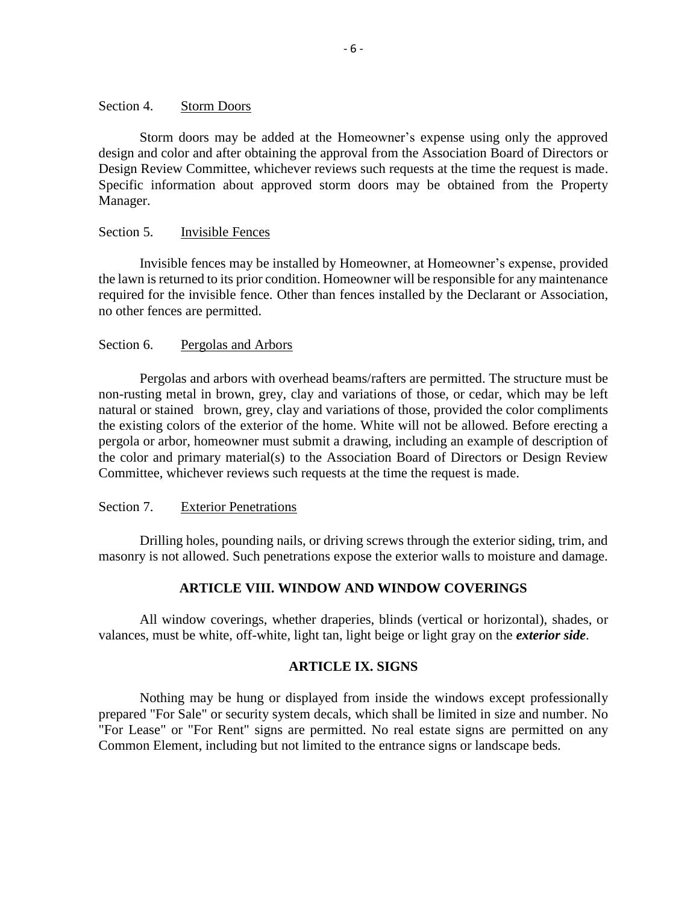#### <span id="page-8-0"></span>Section 4. Storm Doors

Storm doors may be added at the Homeowner's expense using only the approved design and color and after obtaining the approval from the Association Board of Directors or Design Review Committee, whichever reviews such requests at the time the request is made. Specific information about approved storm doors may be obtained from the Property Manager.

#### <span id="page-8-1"></span>Section 5. Invisible Fences

Invisible fences may be installed by Homeowner, at Homeowner's expense, provided the lawn is returned to its prior condition. Homeowner will be responsible for any maintenance required for the invisible fence. Other than fences installed by the Declarant or Association, no other fences are permitted.

#### <span id="page-8-2"></span>Section 6. Pergolas and Arbors

Pergolas and arbors with overhead beams/rafters are permitted. The structure must be non-rusting metal in brown, grey, clay and variations of those, or cedar, which may be left natural or stained brown, grey, clay and variations of those, provided the color compliments the existing colors of the exterior of the home. White will not be allowed. Before erecting a pergola or arbor, homeowner must submit a drawing, including an example of description of the color and primary material(s) to the Association Board of Directors or Design Review Committee, whichever reviews such requests at the time the request is made.

#### <span id="page-8-3"></span>Section 7. Exterior Penetrations

Drilling holes, pounding nails, or driving screws through the exterior siding, trim, and masonry is not allowed. Such penetrations expose the exterior walls to moisture and damage.

#### **ARTICLE VIII. WINDOW AND WINDOW COVERINGS**

<span id="page-8-4"></span>All window coverings, whether draperies, blinds (vertical or horizontal), shades, or valances, must be white, off-white, light tan, light beige or light gray on the *exterior side*.

## **ARTICLE IX. SIGNS**

<span id="page-8-5"></span>Nothing may be hung or displayed from inside the windows except professionally prepared "For Sale" or security system decals, which shall be limited in size and number. No "For Lease" or "For Rent" signs are permitted. No real estate signs are permitted on any Common Element, including but not limited to the entrance signs or landscape beds.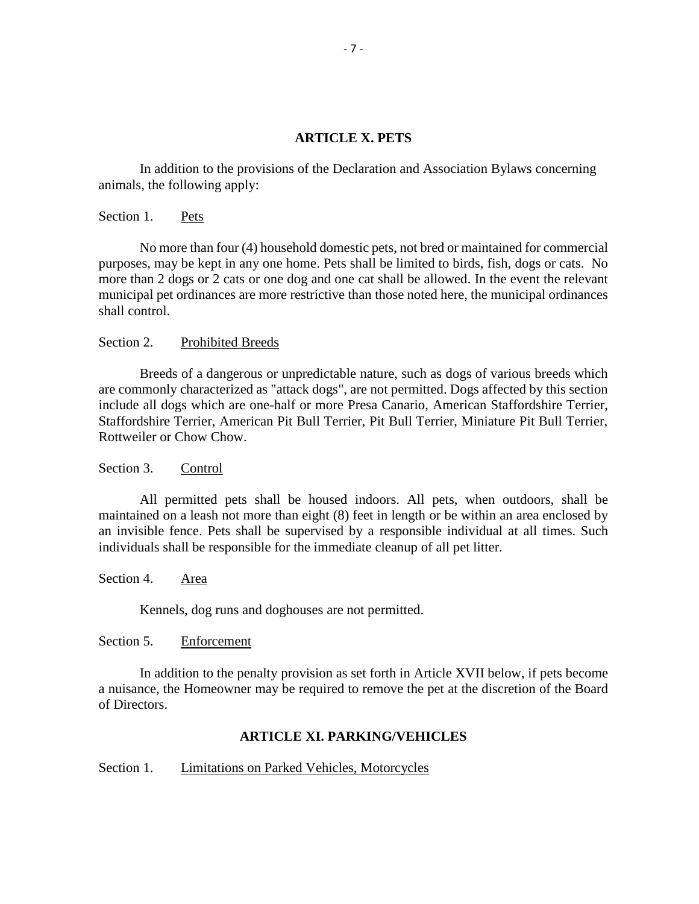#### **ARTICLE X. PETS**

<span id="page-9-0"></span>In addition to the provisions of the Declaration and Association Bylaws concerning animals, the following apply:

<span id="page-9-1"></span>Section 1. Pets

No more than four (4) household domestic pets, not bred or maintained for commercial purposes, may be kept in any one home. Pets shall be limited to birds, fish, dogs or cats. No more than 2 dogs or 2 cats or one dog and one cat shall be allowed. In the event the relevant municipal pet ordinances are more restrictive than those noted here, the municipal ordinances shall control.

#### <span id="page-9-2"></span>Section 2. Prohibited Breeds

Breeds of a dangerous or unpredictable nature, such as dogs of various breeds which are commonly characterized as "attack dogs", are not permitted. Dogs affected by this section include all dogs which are one-half or more Presa Canario, American Staffordshire Terrier, Staffordshire Terrier, American Pit Bull Terrier, Pit Bull Terrier, Miniature Pit Bull Terrier, Rottweiler or Chow Chow.

<span id="page-9-3"></span>Section 3. Control

All permitted pets shall be housed indoors. All pets, when outdoors, shall be maintained on a leash not more than eight (8) feet in length or be within an area enclosed by an invisible fence. Pets shall be supervised by a responsible individual at all times. Such individuals shall be responsible for the immediate cleanup of all pet litter.

<span id="page-9-4"></span>Section 4. Area

Kennels, dog runs and doghouses are not permitted.

#### <span id="page-9-5"></span>Section 5. Enforcement

In addition to the penalty provision as set forth in Article XVII below, if pets become a nuisance, the Homeowner may be required to remove the pet at the discretion of the Board of Directors.

#### **ARTICLE XI. PARKING/VEHICLES**

#### <span id="page-9-7"></span><span id="page-9-6"></span>Section 1. Limitations on Parked Vehicles, Motorcycles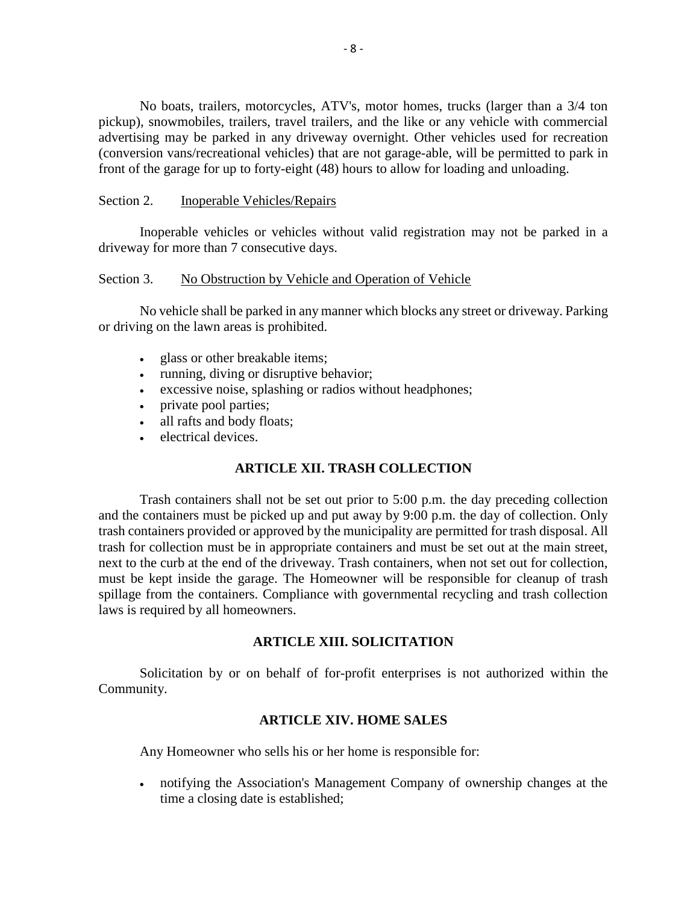No boats, trailers, motorcycles, ATV's, motor homes, trucks (larger than a 3/4 ton pickup), snowmobiles, trailers, travel trailers, and the like or any vehicle with commercial advertising may be parked in any driveway overnight. Other vehicles used for recreation (conversion vans/recreational vehicles) that are not garage-able, will be permitted to park in front of the garage for up to forty-eight (48) hours to allow for loading and unloading.

## <span id="page-10-0"></span>Section 2. Inoperable Vehicles/Repairs

Inoperable vehicles or vehicles without valid registration may not be parked in a driveway for more than 7 consecutive days.

## <span id="page-10-1"></span>Section 3. No Obstruction by Vehicle and Operation of Vehicle

No vehicle shall be parked in any manner which blocks any street or driveway. Parking or driving on the lawn areas is prohibited.

- glass or other breakable items;
- running, diving or disruptive behavior;
- excessive noise, splashing or radios without headphones;
- private pool parties;
- all rafts and body floats;
- electrical devices.

# **ARTICLE XII. TRASH COLLECTION**

<span id="page-10-2"></span>Trash containers shall not be set out prior to 5:00 p.m. the day preceding collection and the containers must be picked up and put away by 9:00 p.m. the day of collection. Only trash containers provided or approved by the municipality are permitted for trash disposal. All trash for collection must be in appropriate containers and must be set out at the main street, next to the curb at the end of the driveway. Trash containers, when not set out for collection, must be kept inside the garage. The Homeowner will be responsible for cleanup of trash spillage from the containers. Compliance with governmental recycling and trash collection laws is required by all homeowners.

#### **ARTICLE XIII. SOLICITATION**

<span id="page-10-4"></span><span id="page-10-3"></span>Solicitation by or on behalf of for-profit enterprises is not authorized within the Community.

#### **ARTICLE XIV. HOME SALES**

Any Homeowner who sells his or her home is responsible for:

 notifying the Association's Management Company of ownership changes at the time a closing date is established;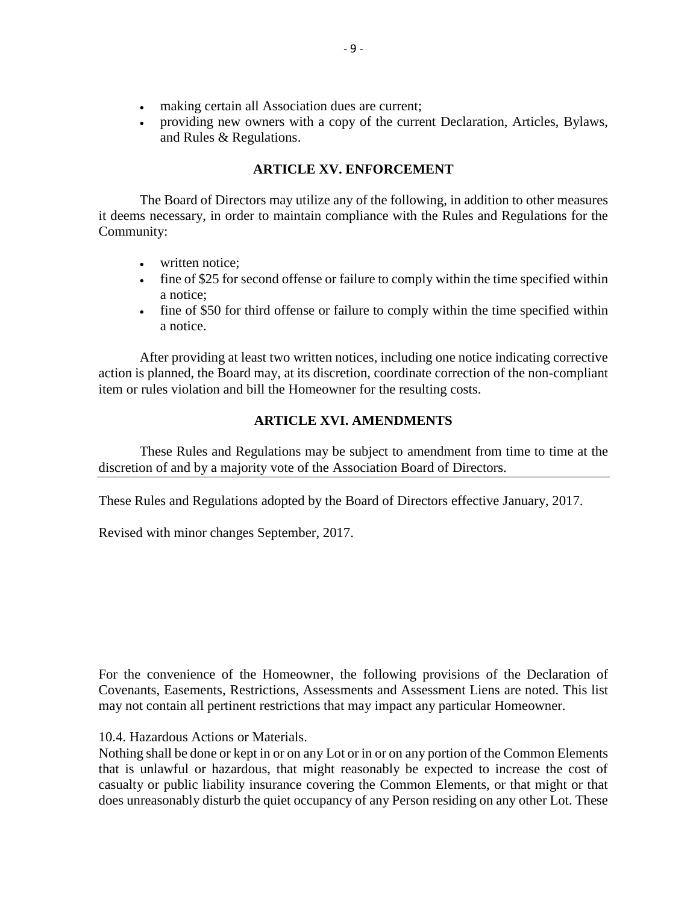- making certain all Association dues are current;
- providing new owners with a copy of the current Declaration, Articles, Bylaws, and Rules & Regulations.

# **ARTICLE XV. ENFORCEMENT**

<span id="page-11-0"></span>The Board of Directors may utilize any of the following, in addition to other measures it deems necessary, in order to maintain compliance with the Rules and Regulations for the Community:

- written notice;
- fine of \$25 for second offense or failure to comply within the time specified within a notice;
- fine of \$50 for third offense or failure to comply within the time specified within a notice.

After providing at least two written notices, including one notice indicating corrective action is planned, the Board may, at its discretion, coordinate correction of the non-compliant item or rules violation and bill the Homeowner for the resulting costs.

# **ARTICLE XVI. AMENDMENTS**

<span id="page-11-1"></span>These Rules and Regulations may be subject to amendment from time to time at the discretion of and by a majority vote of the Association Board of Directors.

These Rules and Regulations adopted by the Board of Directors effective January, 2017.

Revised with minor changes September, 2017.

For the convenience of the Homeowner, the following provisions of the Declaration of Covenants, Easements, Restrictions, Assessments and Assessment Liens are noted. This list may not contain all pertinent restrictions that may impact any particular Homeowner.

10.4. Hazardous Actions or Materials.

Nothing shall be done or kept in or on any Lot or in or on any portion of the Common Elements that is unlawful or hazardous, that might reasonably be expected to increase the cost of casualty or public liability insurance covering the Common Elements, or that might or that does unreasonably disturb the quiet occupancy of any Person residing on any other Lot. These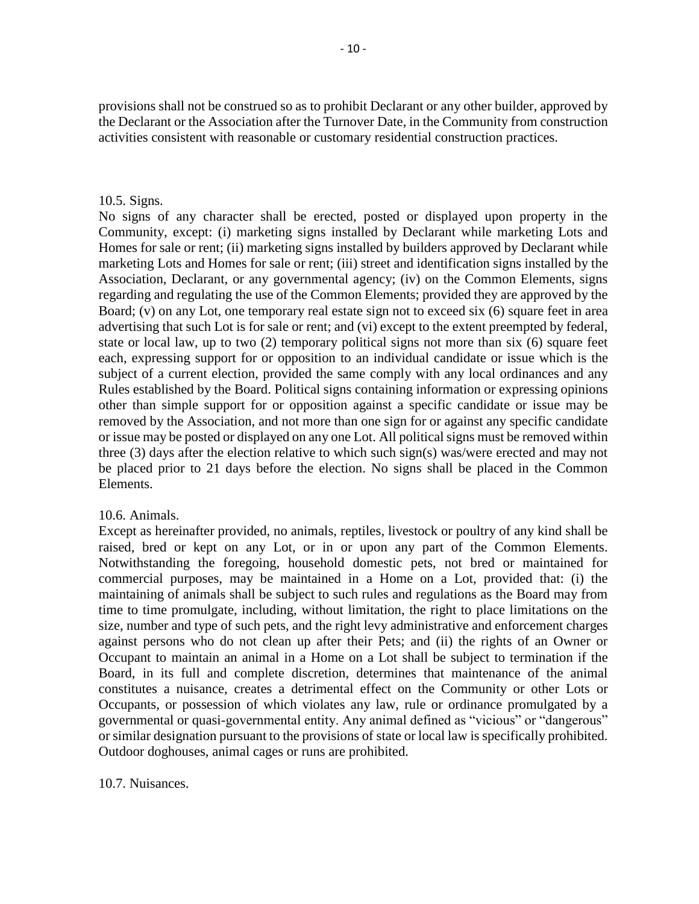provisions shall not be construed so as to prohibit Declarant or any other builder, approved by the Declarant or the Association after the Turnover Date, in the Community from construction activities consistent with reasonable or customary residential construction practices.

#### 10.5. Signs.

No signs of any character shall be erected, posted or displayed upon property in the Community, except: (i) marketing signs installed by Declarant while marketing Lots and Homes for sale or rent; (ii) marketing signs installed by builders approved by Declarant while marketing Lots and Homes for sale or rent; (iii) street and identification signs installed by the Association, Declarant, or any governmental agency; (iv) on the Common Elements, signs regarding and regulating the use of the Common Elements; provided they are approved by the Board; (v) on any Lot, one temporary real estate sign not to exceed six (6) square feet in area advertising that such Lot is for sale or rent; and (vi) except to the extent preempted by federal, state or local law, up to two (2) temporary political signs not more than six (6) square feet each, expressing support for or opposition to an individual candidate or issue which is the subject of a current election, provided the same comply with any local ordinances and any Rules established by the Board. Political signs containing information or expressing opinions other than simple support for or opposition against a specific candidate or issue may be removed by the Association, and not more than one sign for or against any specific candidate or issue may be posted or displayed on any one Lot. All political signs must be removed within three (3) days after the election relative to which such sign(s) was/were erected and may not be placed prior to 21 days before the election. No signs shall be placed in the Common Elements.

# 10.6. Animals.

Except as hereinafter provided, no animals, reptiles, livestock or poultry of any kind shall be raised, bred or kept on any Lot, or in or upon any part of the Common Elements. Notwithstanding the foregoing, household domestic pets, not bred or maintained for commercial purposes, may be maintained in a Home on a Lot, provided that: (i) the maintaining of animals shall be subject to such rules and regulations as the Board may from time to time promulgate, including, without limitation, the right to place limitations on the size, number and type of such pets, and the right levy administrative and enforcement charges against persons who do not clean up after their Pets; and (ii) the rights of an Owner or Occupant to maintain an animal in a Home on a Lot shall be subject to termination if the Board, in its full and complete discretion, determines that maintenance of the animal constitutes a nuisance, creates a detrimental effect on the Community or other Lots or Occupants, or possession of which violates any law, rule or ordinance promulgated by a governmental or quasi-governmental entity. Any animal defined as "vicious" or "dangerous" or similar designation pursuant to the provisions of state or local law is specifically prohibited. Outdoor doghouses, animal cages or runs are prohibited.

10.7. Nuisances.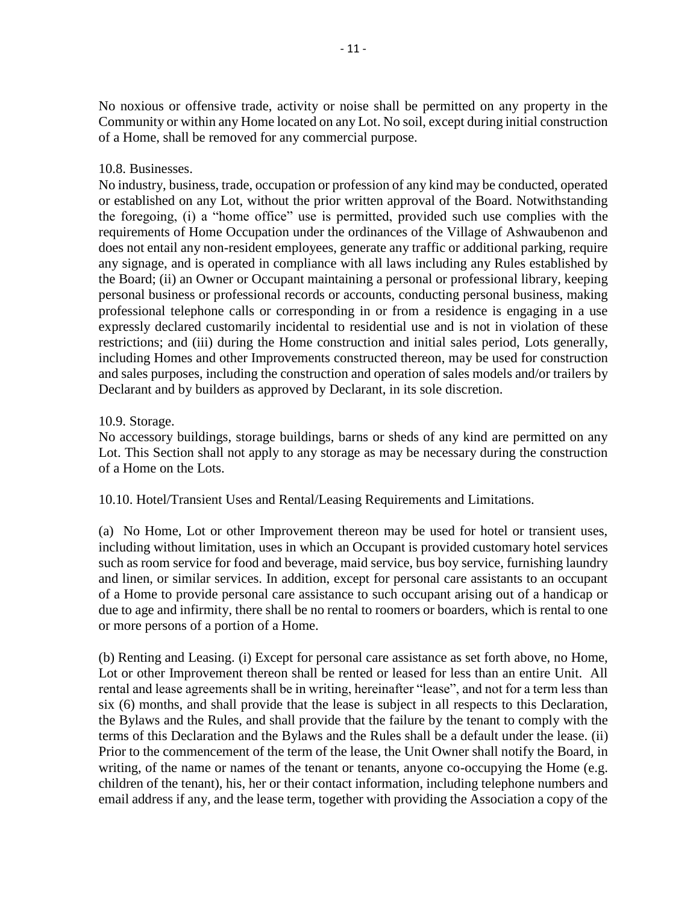No noxious or offensive trade, activity or noise shall be permitted on any property in the Community or within any Home located on any Lot. No soil, except during initial construction of a Home, shall be removed for any commercial purpose.

# 10.8. Businesses.

No industry, business, trade, occupation or profession of any kind may be conducted, operated or established on any Lot, without the prior written approval of the Board. Notwithstanding the foregoing, (i) a "home office" use is permitted, provided such use complies with the requirements of Home Occupation under the ordinances of the Village of Ashwaubenon and does not entail any non-resident employees, generate any traffic or additional parking, require any signage, and is operated in compliance with all laws including any Rules established by the Board; (ii) an Owner or Occupant maintaining a personal or professional library, keeping personal business or professional records or accounts, conducting personal business, making professional telephone calls or corresponding in or from a residence is engaging in a use expressly declared customarily incidental to residential use and is not in violation of these restrictions; and (iii) during the Home construction and initial sales period, Lots generally, including Homes and other Improvements constructed thereon, may be used for construction and sales purposes, including the construction and operation of sales models and/or trailers by Declarant and by builders as approved by Declarant, in its sole discretion.

## 10.9. Storage.

No accessory buildings, storage buildings, barns or sheds of any kind are permitted on any Lot. This Section shall not apply to any storage as may be necessary during the construction of a Home on the Lots.

10.10. Hotel/Transient Uses and Rental/Leasing Requirements and Limitations.

(a) No Home, Lot or other Improvement thereon may be used for hotel or transient uses, including without limitation, uses in which an Occupant is provided customary hotel services such as room service for food and beverage, maid service, bus boy service, furnishing laundry and linen, or similar services. In addition, except for personal care assistants to an occupant of a Home to provide personal care assistance to such occupant arising out of a handicap or due to age and infirmity, there shall be no rental to roomers or boarders, which is rental to one or more persons of a portion of a Home.

(b) Renting and Leasing. (i) Except for personal care assistance as set forth above, no Home, Lot or other Improvement thereon shall be rented or leased for less than an entire Unit. All rental and lease agreements shall be in writing, hereinafter "lease", and not for a term less than six (6) months, and shall provide that the lease is subject in all respects to this Declaration, the Bylaws and the Rules, and shall provide that the failure by the tenant to comply with the terms of this Declaration and the Bylaws and the Rules shall be a default under the lease. (ii) Prior to the commencement of the term of the lease, the Unit Owner shall notify the Board, in writing, of the name or names of the tenant or tenants, anyone co-occupying the Home (e.g. children of the tenant), his, her or their contact information, including telephone numbers and email address if any, and the lease term, together with providing the Association a copy of the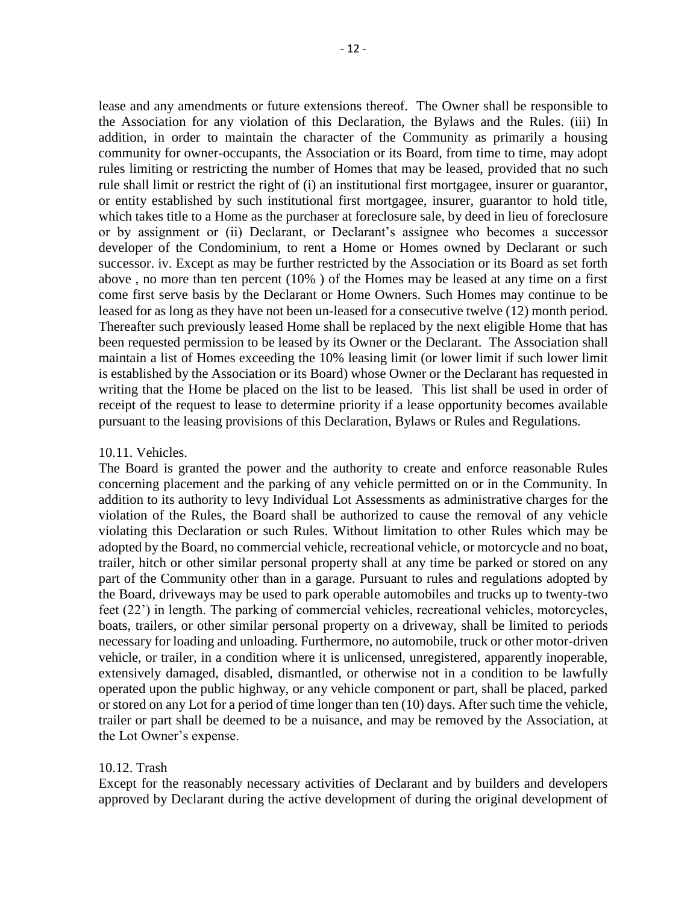lease and any amendments or future extensions thereof. The Owner shall be responsible to the Association for any violation of this Declaration, the Bylaws and the Rules. (iii) In addition, in order to maintain the character of the Community as primarily a housing community for owner-occupants, the Association or its Board, from time to time, may adopt rules limiting or restricting the number of Homes that may be leased, provided that no such rule shall limit or restrict the right of (i) an institutional first mortgagee, insurer or guarantor, or entity established by such institutional first mortgagee, insurer, guarantor to hold title, which takes title to a Home as the purchaser at foreclosure sale, by deed in lieu of foreclosure or by assignment or (ii) Declarant, or Declarant's assignee who becomes a successor developer of the Condominium, to rent a Home or Homes owned by Declarant or such successor. iv. Except as may be further restricted by the Association or its Board as set forth above , no more than ten percent (10% ) of the Homes may be leased at any time on a first come first serve basis by the Declarant or Home Owners. Such Homes may continue to be leased for as long as they have not been un-leased for a consecutive twelve (12) month period. Thereafter such previously leased Home shall be replaced by the next eligible Home that has been requested permission to be leased by its Owner or the Declarant. The Association shall maintain a list of Homes exceeding the 10% leasing limit (or lower limit if such lower limit is established by the Association or its Board) whose Owner or the Declarant has requested in writing that the Home be placed on the list to be leased. This list shall be used in order of receipt of the request to lease to determine priority if a lease opportunity becomes available pursuant to the leasing provisions of this Declaration, Bylaws or Rules and Regulations.

#### 10.11. Vehicles.

The Board is granted the power and the authority to create and enforce reasonable Rules concerning placement and the parking of any vehicle permitted on or in the Community. In addition to its authority to levy Individual Lot Assessments as administrative charges for the violation of the Rules, the Board shall be authorized to cause the removal of any vehicle violating this Declaration or such Rules. Without limitation to other Rules which may be adopted by the Board, no commercial vehicle, recreational vehicle, or motorcycle and no boat, trailer, hitch or other similar personal property shall at any time be parked or stored on any part of the Community other than in a garage. Pursuant to rules and regulations adopted by the Board, driveways may be used to park operable automobiles and trucks up to twenty-two feet (22') in length. The parking of commercial vehicles, recreational vehicles, motorcycles, boats, trailers, or other similar personal property on a driveway, shall be limited to periods necessary for loading and unloading. Furthermore, no automobile, truck or other motor-driven vehicle, or trailer, in a condition where it is unlicensed, unregistered, apparently inoperable, extensively damaged, disabled, dismantled, or otherwise not in a condition to be lawfully operated upon the public highway, or any vehicle component or part, shall be placed, parked or stored on any Lot for a period of time longer than ten (10) days. After such time the vehicle, trailer or part shall be deemed to be a nuisance, and may be removed by the Association, at the Lot Owner's expense.

#### 10.12. Trash

Except for the reasonably necessary activities of Declarant and by builders and developers approved by Declarant during the active development of during the original development of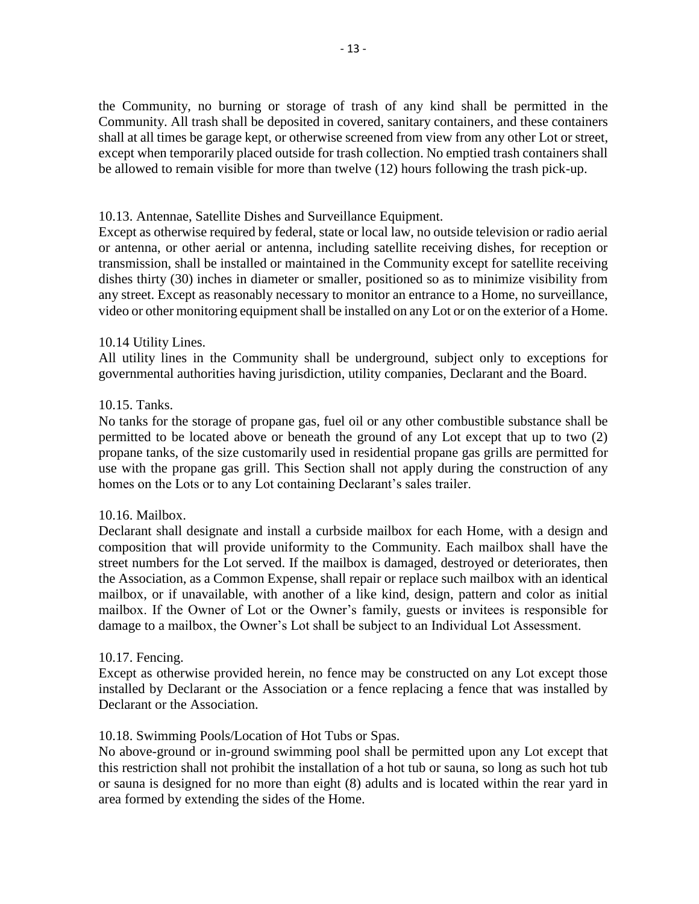the Community, no burning or storage of trash of any kind shall be permitted in the Community. All trash shall be deposited in covered, sanitary containers, and these containers shall at all times be garage kept, or otherwise screened from view from any other Lot or street, except when temporarily placed outside for trash collection. No emptied trash containers shall be allowed to remain visible for more than twelve (12) hours following the trash pick-up.

## 10.13. Antennae, Satellite Dishes and Surveillance Equipment.

Except as otherwise required by federal, state or local law, no outside television or radio aerial or antenna, or other aerial or antenna, including satellite receiving dishes, for reception or transmission, shall be installed or maintained in the Community except for satellite receiving dishes thirty (30) inches in diameter or smaller, positioned so as to minimize visibility from any street. Except as reasonably necessary to monitor an entrance to a Home, no surveillance, video or other monitoring equipment shall be installed on any Lot or on the exterior of a Home.

## 10.14 Utility Lines.

All utility lines in the Community shall be underground, subject only to exceptions for governmental authorities having jurisdiction, utility companies, Declarant and the Board.

## 10.15. Tanks.

No tanks for the storage of propane gas, fuel oil or any other combustible substance shall be permitted to be located above or beneath the ground of any Lot except that up to two (2) propane tanks, of the size customarily used in residential propane gas grills are permitted for use with the propane gas grill. This Section shall not apply during the construction of any homes on the Lots or to any Lot containing Declarant's sales trailer.

# 10.16. Mailbox.

Declarant shall designate and install a curbside mailbox for each Home, with a design and composition that will provide uniformity to the Community. Each mailbox shall have the street numbers for the Lot served. If the mailbox is damaged, destroyed or deteriorates, then the Association, as a Common Expense, shall repair or replace such mailbox with an identical mailbox, or if unavailable, with another of a like kind, design, pattern and color as initial mailbox. If the Owner of Lot or the Owner's family, guests or invitees is responsible for damage to a mailbox, the Owner's Lot shall be subject to an Individual Lot Assessment.

#### 10.17. Fencing.

Except as otherwise provided herein, no fence may be constructed on any Lot except those installed by Declarant or the Association or a fence replacing a fence that was installed by Declarant or the Association.

#### 10.18. Swimming Pools/Location of Hot Tubs or Spas.

No above-ground or in-ground swimming pool shall be permitted upon any Lot except that this restriction shall not prohibit the installation of a hot tub or sauna, so long as such hot tub or sauna is designed for no more than eight (8) adults and is located within the rear yard in area formed by extending the sides of the Home.